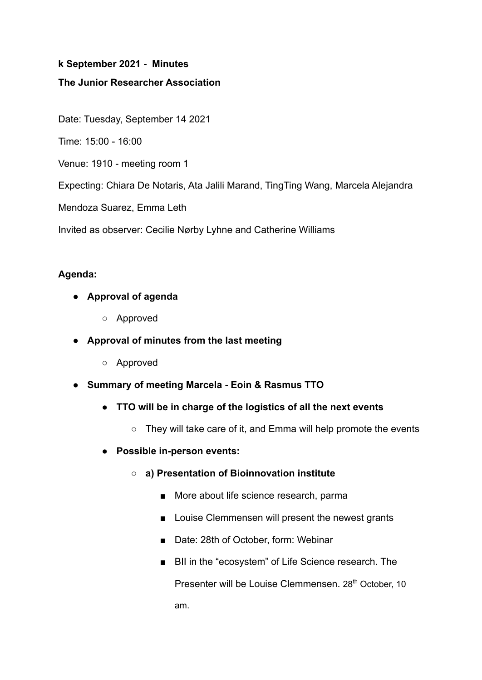#### **k September 2021 - Minutes**

### **The Junior Researcher Association**

Date: Tuesday, September 14 2021

Time: 15:00 - 16:00

Venue: 1910 - meeting room 1

Expecting: Chiara De Notaris, Ata Jalili Marand, TingTing Wang, Marcela Alejandra

Mendoza Suarez, Emma Leth

Invited as observer: Cecilie Nørby Lyhne and Catherine Williams

### **Agenda:**

- **● Approval of agenda**
	- Approved
- **● Approval of minutes from the last meeting**
	- Approved
- **● Summary of meeting Marcela Eoin & Rasmus TTO**
	- **● TTO will be in charge of the logistics of all the next events**
		- They will take care of it, and Emma will help promote the events
	- **● Possible in-person events:**
		- **○ a) Presentation of Bioinnovation institute**
			- More about life science research, parma
			- Louise Clemmensen will present the newest grants
			- Date: 28th of October, form: Webinar
			- BII in the "ecosystem" of Life Science research. The

Presenter will be Louise Clemmensen. 28<sup>th</sup> October, 10 am.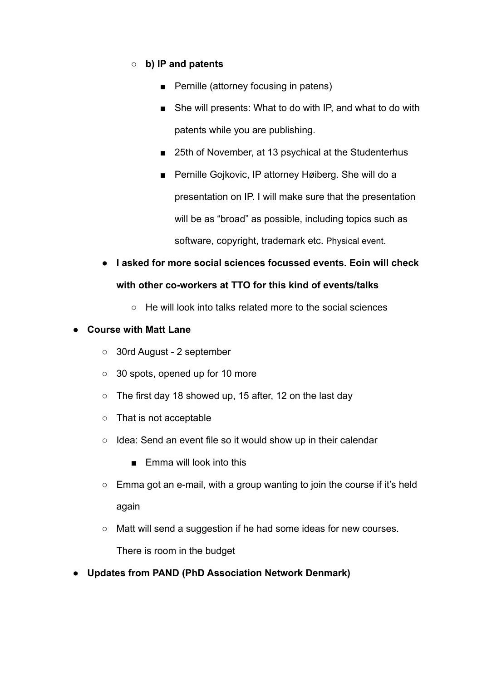## **○ b) IP and patents**

- Pernille (attorney focusing in patens)
- She will presents: What to do with IP, and what to do with patents while you are publishing.
- 25th of November, at 13 psychical at the Studenterhus
- Pernille Gojkovic, IP attorney Høiberg. She will do a presentation on IP. I will make sure that the presentation will be as "broad" as possible, including topics such as software, copyright, trademark etc. Physical event.
- **● I asked for more social sciences focussed events. Eoin will check with other co-workers at TTO for this kind of events/talks**
	- He will look into talks related more to the social sciences

## **● Course with Matt Lane**

- 30rd August 2 september
- 30 spots, opened up for 10 more
- The first day 18 showed up, 15 after, 12 on the last day
- That is not acceptable
- Idea: Send an event file so it would show up in their calendar
	- Emma will look into this
- Emma got an e-mail, with a group wanting to join the course if it's held again
- Matt will send a suggestion if he had some ideas for new courses.

There is room in the budget

**● Updates from PAND (PhD Association Network Denmark)**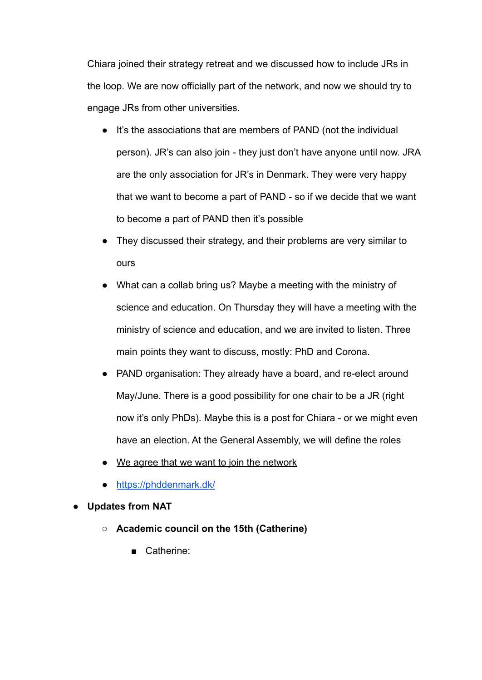Chiara joined their strategy retreat and we discussed how to include JRs in the loop. We are now officially part of the network, and now we should try to engage JRs from other universities.

- It's the associations that are members of PAND (not the individual person). JR's can also join - they just don't have anyone until now. JRA are the only association for JR's in Denmark. They were very happy that we want to become a part of PAND - so if we decide that we want to become a part of PAND then it's possible
- They discussed their strategy, and their problems are very similar to ours
- What can a collab bring us? Maybe a meeting with the ministry of science and education. On Thursday they will have a meeting with the ministry of science and education, and we are invited to listen. Three main points they want to discuss, mostly: PhD and Corona.
- PAND organisation: They already have a board, and re-elect around May/June. There is a good possibility for one chair to be a JR (right now it's only PhDs). Maybe this is a post for Chiara - or we might even have an election. At the General Assembly, we will define the roles
- We agree that we want to join the network
- <https://phddenmark.dk/>
- **● Updates from NAT**
	- **○ Academic council on the 15th (Catherine)**
		- Catherine: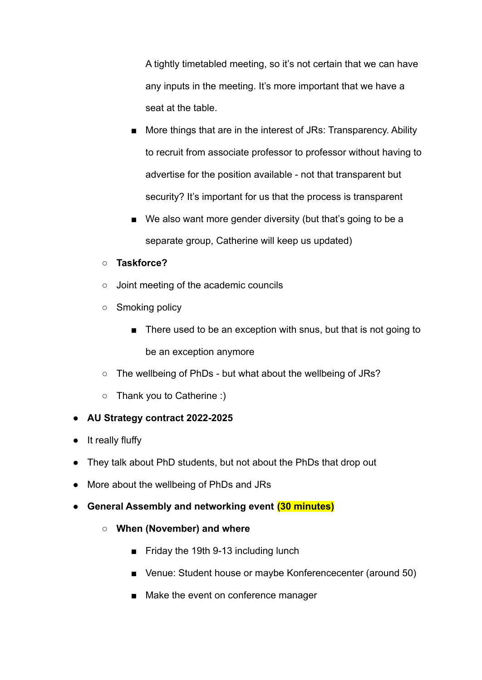A tightly timetabled meeting, so it's not certain that we can have any inputs in the meeting. It's more important that we have a seat at the table.

- More things that are in the interest of JRs: Transparency. Ability to recruit from associate professor to professor without having to advertise for the position available - not that transparent but security? It's important for us that the process is transparent
- We also want more gender diversity (but that's going to be a separate group, Catherine will keep us updated)

# **○ Taskforce?**

- Joint meeting of the academic councils
- Smoking policy
	- There used to be an exception with snus, but that is not going to be an exception anymore
- The wellbeing of PhDs but what about the wellbeing of JRs?
- Thank you to Catherine :)

# **● AU Strategy contract 2022-2025**

- It really fluffy
- They talk about PhD students, but not about the PhDs that drop out
- More about the wellbeing of PhDs and JRs
- **● General Assembly and networking event (30 minutes)**
	- **○ When (November) and where**
		- Friday the 19th 9-13 including lunch
		- Venue: Student house or maybe Konferencecenter (around 50)
		- Make the event on conference manager